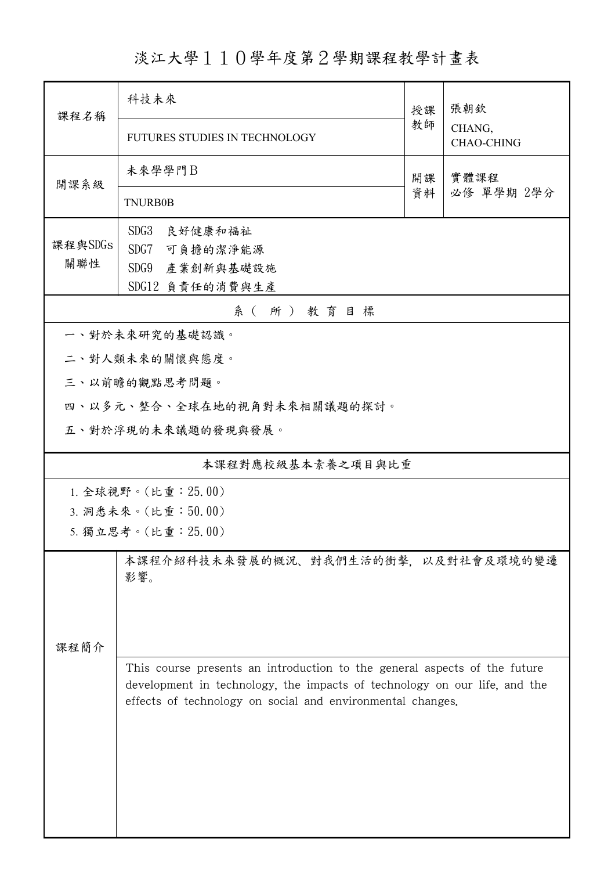淡江大學110學年度第2學期課程教學計畫表

| 課程名稱           | 科技未來                                                                                                                                                                                                                 | 授課 | 張朝欽<br>CHANG,<br><b>CHAO-CHING</b> |
|----------------|----------------------------------------------------------------------------------------------------------------------------------------------------------------------------------------------------------------------|----|------------------------------------|
|                | <b>FUTURES STUDIES IN TECHNOLOGY</b>                                                                                                                                                                                 | 教師 |                                    |
| 開課系級           | 未來學學門B                                                                                                                                                                                                               | 開課 | 實體課程                               |
|                | <b>TNURB0B</b>                                                                                                                                                                                                       | 資料 | 必修 單學期 2學分                         |
| 課程與SDGs<br>關聯性 | SDG3<br>良好健康和福祉<br>SDG7 可負擔的潔淨能源<br>SDG9<br>產業創新與基礎設施<br>SDG12 負責任的消費與生產                                                                                                                                             |    |                                    |
|                | 系(所)教育目標                                                                                                                                                                                                             |    |                                    |
|                | 一、對於未來研究的基礎認識。                                                                                                                                                                                                       |    |                                    |
|                | 二、對人類未來的關懷與態度。                                                                                                                                                                                                       |    |                                    |
|                | 三、以前瞻的觀點思考問題。                                                                                                                                                                                                        |    |                                    |
|                | 四、以多元、整合、全球在地的視角對未來相關議題的探討。                                                                                                                                                                                          |    |                                    |
|                | 五、對於浮現的未來議題的發現與發展。                                                                                                                                                                                                   |    |                                    |
|                | 本課程對應校級基本素養之項目與比重                                                                                                                                                                                                    |    |                                    |
|                | 1. 全球視野。(比重: 25.00)                                                                                                                                                                                                  |    |                                    |
|                | 3. 洞悉未來。(比重:50.00)                                                                                                                                                                                                   |    |                                    |
|                | 5. 獨立思考。(比重: 25.00)                                                                                                                                                                                                  |    |                                    |
| 课程简介           | 本課程介紹科技未來發展的概況、對我們生活的衝擊,以及對社會及環境的變遷<br>影響。                                                                                                                                                                           |    |                                    |
|                | This course presents an introduction to the general aspects of the future<br>development in technology, the impacts of technology on our life, and the<br>effects of technology on social and environmental changes. |    |                                    |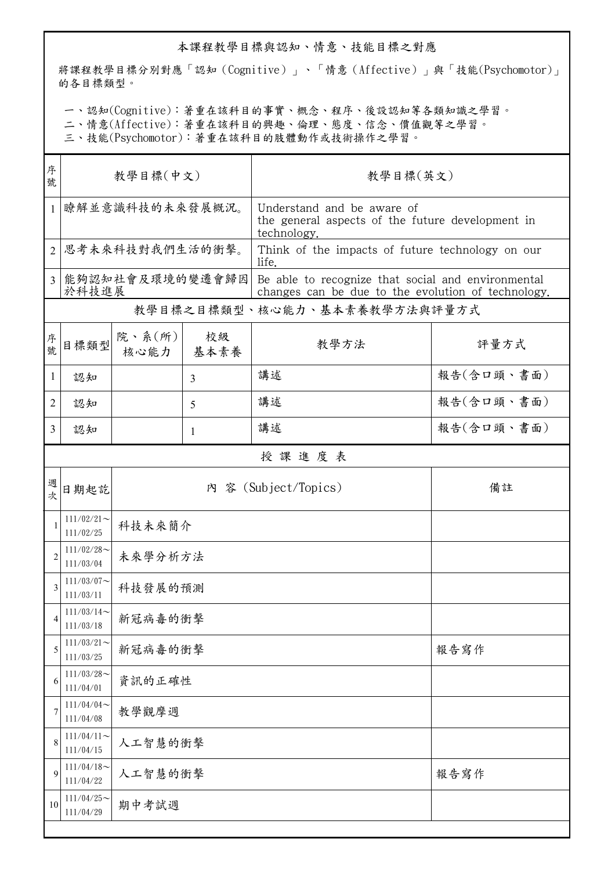## 本課程教學目標與認知、情意、技能目標之對應

將課程教學目標分別對應「認知(Cognitive)」、「情意(Affective)」與「技能(Psychomotor)」 的各目標類型。

一、認知(Cognitive):著重在該科目的事實、概念、程序、後設認知等各類知識之學習。

二、情意(Affective):著重在該科目的興趣、倫理、態度、信念、價值觀等之學習。

三、技能(Psychomotor):著重在該科目的肢體動作或技術操作之學習。

| 序<br>號         | 教學目標(中文)                   |                 |            | 教學目標(英文)                                                                                                 |            |  |
|----------------|----------------------------|-----------------|------------|----------------------------------------------------------------------------------------------------------|------------|--|
| $\mathbf{1}$   | 瞭解並意識科技的未來發展概況。            |                 |            | Understand and be aware of<br>the general aspects of the future development in<br>technology.            |            |  |
| $\overline{2}$ |                            | 思考未來科技對我們生活的衝擊。 |            | Think of the impacts of future technology on our<br>life.                                                |            |  |
| $\overline{3}$ | 能夠認知社會及環境的變遷會歸因<br>於科技進展   |                 |            | Be able to recognize that social and environmental<br>changes can be due to the evolution of technology. |            |  |
|                |                            |                 |            | 教學目標之目標類型、核心能力、基本素養教學方法與評量方式                                                                             |            |  |
| 序號             | 目標類型                       | 院、系(所)<br>核心能力  | 校級<br>基本素養 | 教學方法                                                                                                     | 評量方式       |  |
| 1              | 認知                         |                 | 3          | 講述                                                                                                       | 報告(含口頭、書面) |  |
| 2              | 認知                         |                 | 5          | 講述                                                                                                       | 報告(含口頭、書面) |  |
| 3              | 認知                         |                 | 1          | 講述                                                                                                       | 報告(含口頭、書面) |  |
|                |                            |                 |            | 授課進度表                                                                                                    |            |  |
| 週次             | 日期起訖                       |                 |            | 內 容 (Subject/Topics)                                                                                     | 備註         |  |
| 1              | $111/02/21$ ~<br>111/02/25 | 科技未來簡介          |            |                                                                                                          |            |  |
| 2              | $111/02/28$ ~<br>111/03/04 | 未來學分析方法         |            |                                                                                                          |            |  |
| 3              | $111/03/07$ ~<br>111/03/11 | 科技發展的預測         |            |                                                                                                          |            |  |
| 4              | $111/03/14$ ~<br>111/03/18 | 新冠病毒的衝擊         |            |                                                                                                          |            |  |
| 5              | $111/03/21$ ~<br>111/03/25 | 新冠病毒的衝擊         |            |                                                                                                          | 報告寫作       |  |
| 6              | $111/03/28$ ~<br>111/04/01 | 資訊的正確性          |            |                                                                                                          |            |  |
| 7              | $111/04/04$ ~<br>111/04/08 | 教學觀摩週           |            |                                                                                                          |            |  |
| 8              | $111/04/11$ ~<br>111/04/15 | 人工智慧的衝擊         |            |                                                                                                          |            |  |
| 9              | $111/04/18$ ~<br>111/04/22 | 人工智慧的衝擊         |            |                                                                                                          | 報告寫作       |  |
| 10             | $111/04/25$ ~<br>111/04/29 | 期中考試週           |            |                                                                                                          |            |  |
|                |                            |                 |            |                                                                                                          |            |  |